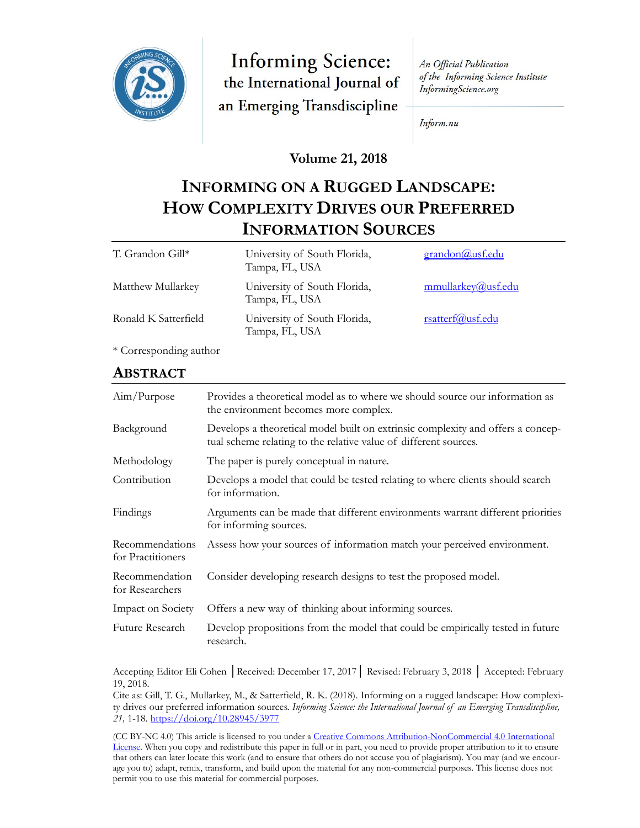

**Informing Science:** the International Journal of an Emerging Transdiscipline

An Official Publication of the Informing Science Institute InformingScience.org

Inform.nu

### **Volume 21, 2018**

# **INFORMING ON A RUGGED LANDSCAPE: HOW COMPLEXITY DRIVES OUR PREFERRED INFORMATION SOURCES**

| T. Grandon Gill*     | University of South Florida,<br>Tampa, FL, USA | grandon@usf.edu    |
|----------------------|------------------------------------------------|--------------------|
| Matthew Mullarkey    | University of South Florida,<br>Tampa, FL, USA | mmullarkey@usf.edu |
| Ronald K Satterfield | University of South Florida,<br>Tampa, FL, USA | rsatterf@usf.edu   |

\* Corresponding author

### **ABSTRACT**

| Aim/Purpose                          | Provides a theoretical model as to where we should source our information as<br>the environment becomes more complex.                               |
|--------------------------------------|-----------------------------------------------------------------------------------------------------------------------------------------------------|
| Background                           | Develops a theoretical model built on extrinsic complexity and offers a concep-<br>tual scheme relating to the relative value of different sources. |
| Methodology                          | The paper is purely conceptual in nature.                                                                                                           |
| Contribution                         | Develops a model that could be tested relating to where clients should search<br>for information.                                                   |
| Findings                             | Arguments can be made that different environments warrant different priorities<br>for informing sources.                                            |
| Recommendations<br>for Practitioners | Assess how your sources of information match your perceived environment.                                                                            |
| Recommendation<br>for Researchers    | Consider developing research designs to test the proposed model.                                                                                    |
| Impact on Society                    | Offers a new way of thinking about informing sources.                                                                                               |
| Future Research                      | Develop propositions from the model that could be empirically tested in future<br>research.                                                         |

Accepting Editor Eli Cohen │Received: December 17, 2017│ Revised: February 3, 2018 │ Accepted: February 19, 2018.

Cite as: Gill, T. G., Mullarkey, M., & Satterfield, R. K. (2018). Informing on a rugged landscape: How complexity drives our preferred information sources. *Informing Science: the International Journal of an Emerging Transdiscipline, 21,* 1-18. <https://doi.org/10.28945/3977>

(CC BY-NC 4.0) This article is licensed to you under a Creative Commons Attribution-[NonCommercial 4.0 International](https://creativecommons.org/licenses/by-nc/4.0/)  [License.](https://creativecommons.org/licenses/by-nc/4.0/) When you copy and redistribute this paper in full or in part, you need to provide proper attribution to it to ensure that others can later locate this work (and to ensure that others do not accuse you of plagiarism). You may (and we encourage you to) adapt, remix, transform, and build upon the material for any non-commercial purposes. This license does not permit you to use this material for commercial purposes.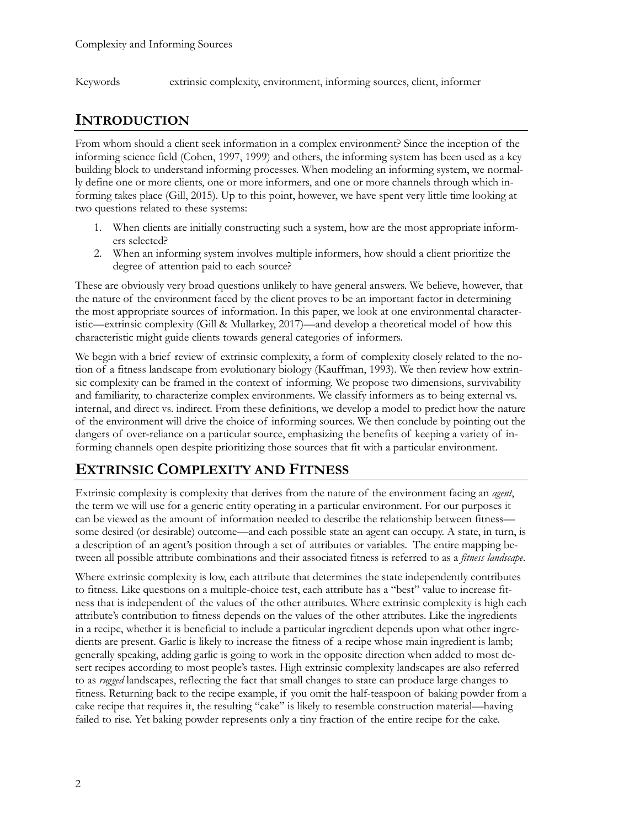Keywords extrinsic complexity, environment, informing sources, client, informer

## **INTRODUCTION**

From whom should a client seek information in a complex environment? Since the inception of the informing science field (Cohen, 1997, 1999) and others, the informing system has been used as a key building block to understand informing processes. When modeling an informing system, we normally define one or more clients, one or more informers, and one or more channels through which informing takes place (Gill, 2015). Up to this point, however, we have spent very little time looking at two questions related to these systems:

- 1. When clients are initially constructing such a system, how are the most appropriate informers selected?
- 2. When an informing system involves multiple informers, how should a client prioritize the degree of attention paid to each source?

These are obviously very broad questions unlikely to have general answers. We believe, however, that the nature of the environment faced by the client proves to be an important factor in determining the most appropriate sources of information. In this paper, we look at one environmental characteristic—extrinsic complexity (Gill & Mullarkey, 2017)—and develop a theoretical model of how this characteristic might guide clients towards general categories of informers.

We begin with a brief review of extrinsic complexity, a form of complexity closely related to the notion of a fitness landscape from evolutionary biology (Kauffman, 1993). We then review how extrinsic complexity can be framed in the context of informing. We propose two dimensions, survivability and familiarity, to characterize complex environments. We classify informers as to being external vs. internal, and direct vs. indirect. From these definitions, we develop a model to predict how the nature of the environment will drive the choice of informing sources. We then conclude by pointing out the dangers of over-reliance on a particular source, emphasizing the benefits of keeping a variety of informing channels open despite prioritizing those sources that fit with a particular environment.

## **EXTRINSIC COMPLEXITY AND FITNESS**

Extrinsic complexity is complexity that derives from the nature of the environment facing an *agent*, the term we will use for a generic entity operating in a particular environment. For our purposes it can be viewed as the amount of information needed to describe the relationship between fitness some desired (or desirable) outcome—and each possible state an agent can occupy. A state, in turn, is a description of an agent's position through a set of attributes or variables. The entire mapping between all possible attribute combinations and their associated fitness is referred to as a *fitness landscape*.

Where extrinsic complexity is low, each attribute that determines the state independently contributes to fitness. Like questions on a multiple-choice test, each attribute has a "best" value to increase fitness that is independent of the values of the other attributes. Where extrinsic complexity is high each attribute's contribution to fitness depends on the values of the other attributes. Like the ingredients in a recipe, whether it is beneficial to include a particular ingredient depends upon what other ingredients are present. Garlic is likely to increase the fitness of a recipe whose main ingredient is lamb; generally speaking, adding garlic is going to work in the opposite direction when added to most desert recipes according to most people's tastes. High extrinsic complexity landscapes are also referred to as *rugged* landscapes, reflecting the fact that small changes to state can produce large changes to fitness. Returning back to the recipe example, if you omit the half-teaspoon of baking powder from a cake recipe that requires it, the resulting "cake" is likely to resemble construction material—having failed to rise. Yet baking powder represents only a tiny fraction of the entire recipe for the cake.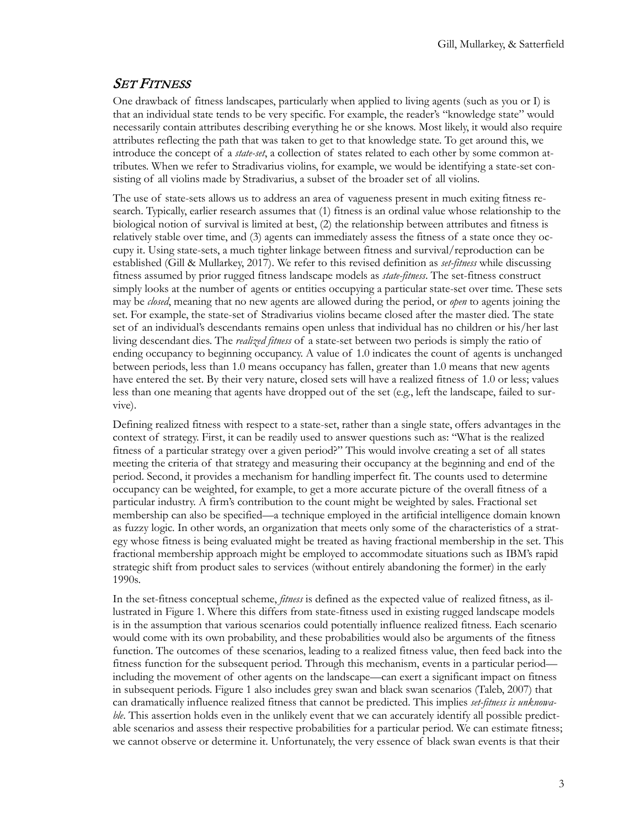#### SET FITNESS

One drawback of fitness landscapes, particularly when applied to living agents (such as you or I) is that an individual state tends to be very specific. For example, the reader's "knowledge state" would necessarily contain attributes describing everything he or she knows. Most likely, it would also require attributes reflecting the path that was taken to get to that knowledge state. To get around this, we introduce the concept of a *state-set*, a collection of states related to each other by some common attributes. When we refer to Stradivarius violins, for example, we would be identifying a state-set consisting of all violins made by Stradivarius, a subset of the broader set of all violins.

The use of state-sets allows us to address an area of vagueness present in much exiting fitness research. Typically, earlier research assumes that (1) fitness is an ordinal value whose relationship to the biological notion of survival is limited at best, (2) the relationship between attributes and fitness is relatively stable over time, and (3) agents can immediately assess the fitness of a state once they occupy it. Using state-sets, a much tighter linkage between fitness and survival/reproduction can be established (Gill & Mullarkey, 2017). We refer to this revised definition as *set-fitness* while discussing fitness assumed by prior rugged fitness landscape models as *state-fitness*. The set-fitness construct simply looks at the number of agents or entities occupying a particular state-set over time. These sets may be *closed*, meaning that no new agents are allowed during the period, or *open* to agents joining the set. For example, the state-set of Stradivarius violins became closed after the master died. The state set of an individual's descendants remains open unless that individual has no children or his/her last living descendant dies. The *realized fitness* of a state-set between two periods is simply the ratio of ending occupancy to beginning occupancy. A value of 1.0 indicates the count of agents is unchanged between periods, less than 1.0 means occupancy has fallen, greater than 1.0 means that new agents have entered the set. By their very nature, closed sets will have a realized fitness of 1.0 or less; values less than one meaning that agents have dropped out of the set (e.g., left the landscape, failed to survive).

Defining realized fitness with respect to a state-set, rather than a single state, offers advantages in the context of strategy. First, it can be readily used to answer questions such as: "What is the realized fitness of a particular strategy over a given period?" This would involve creating a set of all states meeting the criteria of that strategy and measuring their occupancy at the beginning and end of the period. Second, it provides a mechanism for handling imperfect fit. The counts used to determine occupancy can be weighted, for example, to get a more accurate picture of the overall fitness of a particular industry. A firm's contribution to the count might be weighted by sales. Fractional set membership can also be specified—a technique employed in the artificial intelligence domain known as fuzzy logic. In other words, an organization that meets only some of the characteristics of a strategy whose fitness is being evaluated might be treated as having fractional membership in the set. This fractional membership approach might be employed to accommodate situations such as IBM's rapid strategic shift from product sales to services (without entirely abandoning the former) in the early 1990s.

In the set-fitness conceptual scheme, *fitness* is defined as the expected value of realized fitness, as illustrated in Figure 1. Where this differs from state-fitness used in existing rugged landscape models is in the assumption that various scenarios could potentially influence realized fitness. Each scenario would come with its own probability, and these probabilities would also be arguments of the fitness function. The outcomes of these scenarios, leading to a realized fitness value, then feed back into the fitness function for the subsequent period. Through this mechanism, events in a particular period including the movement of other agents on the landscape—can exert a significant impact on fitness in subsequent periods. Figure 1 also includes grey swan and black swan scenarios (Taleb, 2007) that can dramatically influence realized fitness that cannot be predicted. This implies *set-fitness is unknowable*. This assertion holds even in the unlikely event that we can accurately identify all possible predictable scenarios and assess their respective probabilities for a particular period. We can estimate fitness; we cannot observe or determine it. Unfortunately, the very essence of black swan events is that their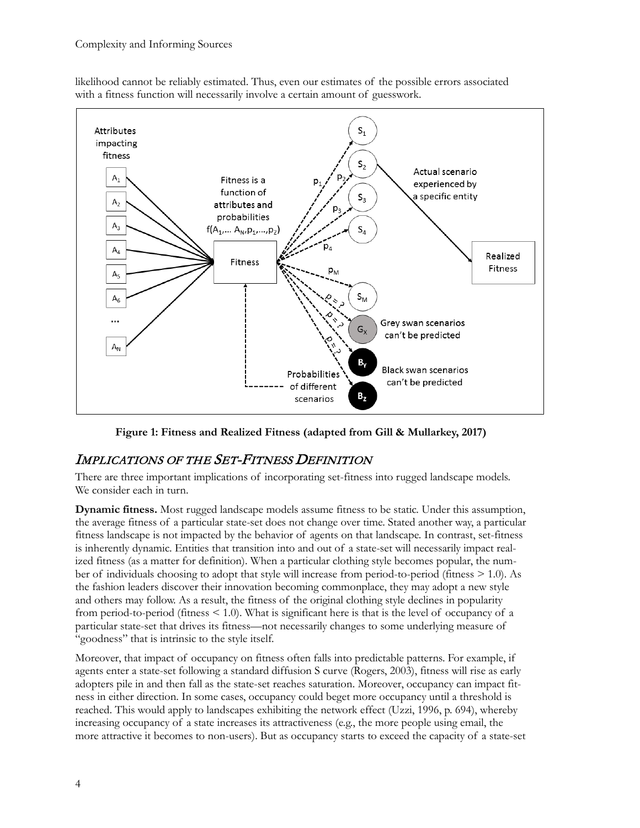likelihood cannot be reliably estimated. Thus, even our estimates of the possible errors associated with a fitness function will necessarily involve a certain amount of guesswork.



**Figure 1: Fitness and Realized Fitness (adapted from Gill & Mullarkey, 2017)**

### IMPLICATIONS OF THE SET-FITNESS DEFINITION

There are three important implications of incorporating set-fitness into rugged landscape models. We consider each in turn.

**Dynamic fitness.** Most rugged landscape models assume fitness to be static. Under this assumption, the average fitness of a particular state-set does not change over time. Stated another way, a particular fitness landscape is not impacted by the behavior of agents on that landscape. In contrast, set-fitness is inherently dynamic. Entities that transition into and out of a state-set will necessarily impact realized fitness (as a matter for definition). When a particular clothing style becomes popular, the number of individuals choosing to adopt that style will increase from period-to-period (fitness > 1.0). As the fashion leaders discover their innovation becoming commonplace, they may adopt a new style and others may follow. As a result, the fitness of the original clothing style declines in popularity from period-to-period (fitness  $\leq$  1.0). What is significant here is that is the level of occupancy of a particular state-set that drives its fitness—not necessarily changes to some underlying measure of "goodness" that is intrinsic to the style itself.

Moreover, that impact of occupancy on fitness often falls into predictable patterns. For example, if agents enter a state-set following a standard diffusion S curve (Rogers, 2003), fitness will rise as early adopters pile in and then fall as the state-set reaches saturation. Moreover, occupancy can impact fitness in either direction. In some cases, occupancy could beget more occupancy until a threshold is reached. This would apply to landscapes exhibiting the network effect (Uzzi, 1996, p. 694), whereby increasing occupancy of a state increases its attractiveness (e.g., the more people using email, the more attractive it becomes to non-users). But as occupancy starts to exceed the capacity of a state-set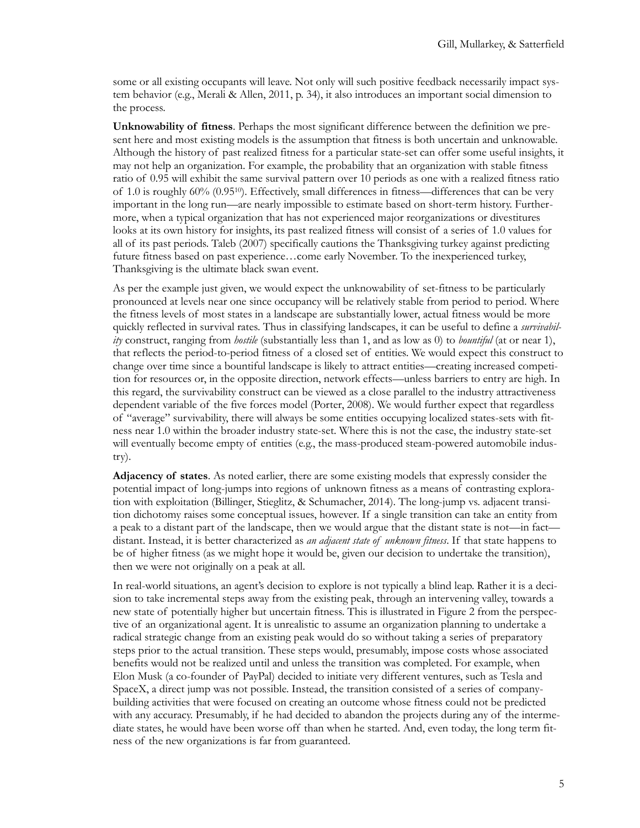some or all existing occupants will leave. Not only will such positive feedback necessarily impact system behavior (e.g., Merali & Allen, 2011, p. 34), it also introduces an important social dimension to the process.

**Unknowability of fitness**. Perhaps the most significant difference between the definition we present here and most existing models is the assumption that fitness is both uncertain and unknowable. Although the history of past realized fitness for a particular state-set can offer some useful insights, it may not help an organization. For example, the probability that an organization with stable fitness ratio of 0.95 will exhibit the same survival pattern over 10 periods as one with a realized fitness ratio of 1.0 is roughly 60% (0.9510). Effectively, small differences in fitness—differences that can be very important in the long run—are nearly impossible to estimate based on short-term history. Furthermore, when a typical organization that has not experienced major reorganizations or divestitures looks at its own history for insights, its past realized fitness will consist of a series of 1.0 values for all of its past periods. Taleb (2007) specifically cautions the Thanksgiving turkey against predicting future fitness based on past experience…come early November. To the inexperienced turkey, Thanksgiving is the ultimate black swan event.

As per the example just given, we would expect the unknowability of set-fitness to be particularly pronounced at levels near one since occupancy will be relatively stable from period to period. Where the fitness levels of most states in a landscape are substantially lower, actual fitness would be more quickly reflected in survival rates. Thus in classifying landscapes, it can be useful to define a *survivability* construct, ranging from *hostile* (substantially less than 1, and as low as 0) to *bountiful* (at or near 1), that reflects the period-to-period fitness of a closed set of entities. We would expect this construct to change over time since a bountiful landscape is likely to attract entities—creating increased competition for resources or, in the opposite direction, network effects—unless barriers to entry are high. In this regard, the survivability construct can be viewed as a close parallel to the industry attractiveness dependent variable of the five forces model (Porter, 2008). We would further expect that regardless of "average" survivability, there will always be some entities occupying localized states-sets with fitness near 1.0 within the broader industry state-set. Where this is not the case, the industry state-set will eventually become empty of entities (e.g., the mass-produced steam-powered automobile industry).

**Adjacency of states**. As noted earlier, there are some existing models that expressly consider the potential impact of long-jumps into regions of unknown fitness as a means of contrasting exploration with exploitation (Billinger, Stieglitz, & Schumacher, 2014). The long-jump vs. adjacent transition dichotomy raises some conceptual issues, however. If a single transition can take an entity from a peak to a distant part of the landscape, then we would argue that the distant state is not—in fact distant. Instead, it is better characterized as *an adjacent state of unknown fitness*. If that state happens to be of higher fitness (as we might hope it would be, given our decision to undertake the transition), then we were not originally on a peak at all.

In real-world situations, an agent's decision to explore is not typically a blind leap. Rather it is a decision to take incremental steps away from the existing peak, through an intervening valley, towards a new state of potentially higher but uncertain fitness. This is illustrated in Figure 2 from the perspective of an organizational agent. It is unrealistic to assume an organization planning to undertake a radical strategic change from an existing peak would do so without taking a series of preparatory steps prior to the actual transition. These steps would, presumably, impose costs whose associated benefits would not be realized until and unless the transition was completed. For example, when Elon Musk (a co-founder of PayPal) decided to initiate very different ventures, such as Tesla and SpaceX, a direct jump was not possible. Instead, the transition consisted of a series of companybuilding activities that were focused on creating an outcome whose fitness could not be predicted with any accuracy. Presumably, if he had decided to abandon the projects during any of the intermediate states, he would have been worse off than when he started. And, even today, the long term fitness of the new organizations is far from guaranteed.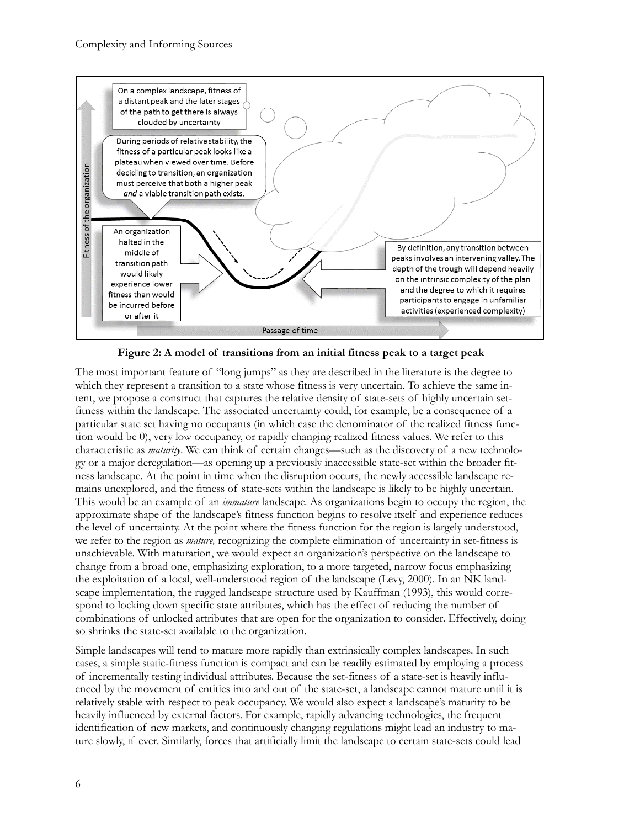

**Figure 2: A model of transitions from an initial fitness peak to a target peak**

The most important feature of "long jumps" as they are described in the literature is the degree to which they represent a transition to a state whose fitness is very uncertain. To achieve the same intent, we propose a construct that captures the relative density of state-sets of highly uncertain setfitness within the landscape. The associated uncertainty could, for example, be a consequence of a particular state set having no occupants (in which case the denominator of the realized fitness function would be 0), very low occupancy, or rapidly changing realized fitness values. We refer to this characteristic as *maturity*. We can think of certain changes—such as the discovery of a new technology or a major deregulation—as opening up a previously inaccessible state-set within the broader fitness landscape. At the point in time when the disruption occurs, the newly accessible landscape remains unexplored, and the fitness of state-sets within the landscape is likely to be highly uncertain. This would be an example of an *immature* landscape. As organizations begin to occupy the region, the approximate shape of the landscape's fitness function begins to resolve itself and experience reduces the level of uncertainty. At the point where the fitness function for the region is largely understood, we refer to the region as *mature,* recognizing the complete elimination of uncertainty in set-fitness is unachievable. With maturation, we would expect an organization's perspective on the landscape to change from a broad one, emphasizing exploration, to a more targeted, narrow focus emphasizing the exploitation of a local, well-understood region of the landscape (Levy, 2000). In an NK landscape implementation, the rugged landscape structure used by Kauffman (1993), this would correspond to locking down specific state attributes, which has the effect of reducing the number of combinations of unlocked attributes that are open for the organization to consider. Effectively, doing so shrinks the state-set available to the organization.

Simple landscapes will tend to mature more rapidly than extrinsically complex landscapes. In such cases, a simple static-fitness function is compact and can be readily estimated by employing a process of incrementally testing individual attributes. Because the set-fitness of a state-set is heavily influenced by the movement of entities into and out of the state-set, a landscape cannot mature until it is relatively stable with respect to peak occupancy. We would also expect a landscape's maturity to be heavily influenced by external factors. For example, rapidly advancing technologies, the frequent identification of new markets, and continuously changing regulations might lead an industry to mature slowly, if ever. Similarly, forces that artificially limit the landscape to certain state-sets could lead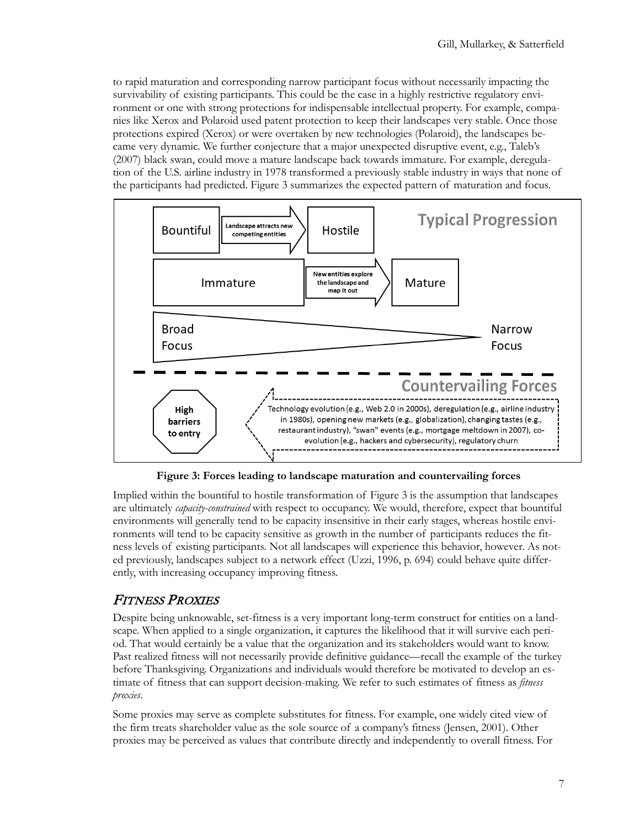to rapid maturation and corresponding narrow participant focus without necessarily impacting the survivability of existing participants. This could be the case in a highly restrictive regulatory environment or one with strong protections for indispensable intellectual property. For example, companies like Xerox and Polaroid used patent protection to keep their landscapes very stable. Once those protections expired (Xerox) or were overtaken by new technologies (Polaroid), the landscapes became very dynamic. We further conjecture that a major unexpected disruptive event, e.g., Taleb's (2007) black swan, could move a mature landscape back towards immature. For example, deregulation of the U.S. airline industry in 1978 transformed a previously stable industry in ways that none of the participants had predicted. Figure 3 summarizes the expected pattern of maturation and focus.



**Figure 3: Forces leading to landscape maturation and countervailing forces**

Implied within the bountiful to hostile transformation of Figure 3 is the assumption that landscapes are ultimately *capacity-constrained* with respect to occupancy. We would, therefore, expect that bountiful environments will generally tend to be capacity insensitive in their early stages, whereas hostile environments will tend to be capacity sensitive as growth in the number of participants reduces the fitness levels of existing participants. Not all landscapes will experience this behavior, however. As noted previously, landscapes subject to a network effect (Uzzi, 1996, p. 694) could behave quite differently, with increasing occupancy improving fitness.

## FITNESS PROXIES

Despite being unknowable, set-fitness is a very important long-term construct for entities on a landscape. When applied to a single organization, it captures the likelihood that it will survive each period. That would certainly be a value that the organization and its stakeholders would want to know. Past realized fitness will not necessarily provide definitive guidance—recall the example of the turkey before Thanksgiving. Organizations and individuals would therefore be motivated to develop an estimate of fitness that can support decision-making. We refer to such estimates of fitness as *fitness proxies*.

Some proxies may serve as complete substitutes for fitness. For example, one widely cited view of the firm treats shareholder value as the sole source of a company's fitness (Jensen, 2001). Other proxies may be perceived as values that contribute directly and independently to overall fitness. For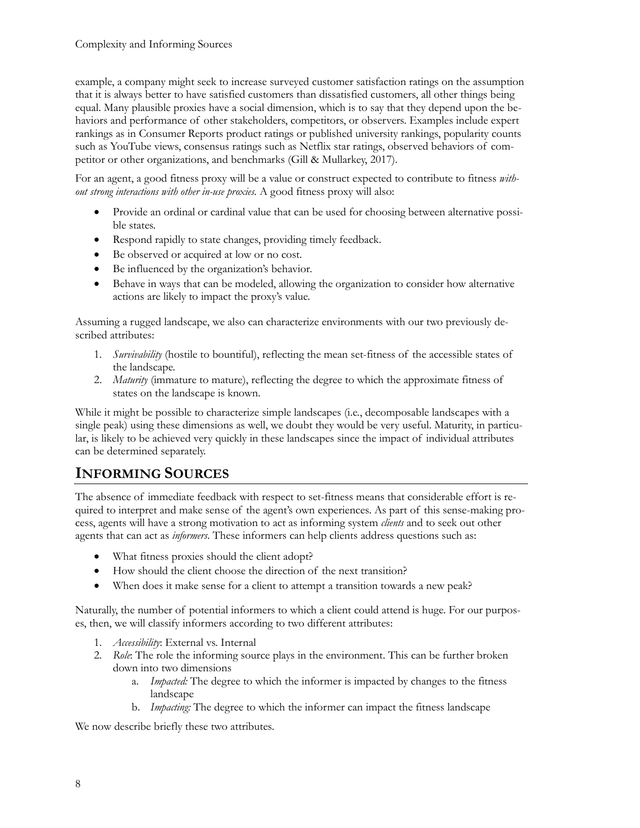example, a company might seek to increase surveyed customer satisfaction ratings on the assumption that it is always better to have satisfied customers than dissatisfied customers, all other things being equal. Many plausible proxies have a social dimension, which is to say that they depend upon the behaviors and performance of other stakeholders, competitors, or observers. Examples include expert rankings as in Consumer Reports product ratings or published university rankings, popularity counts such as YouTube views, consensus ratings such as Netflix star ratings, observed behaviors of competitor or other organizations, and benchmarks (Gill & Mullarkey, 2017).

For an agent, a good fitness proxy will be a value or construct expected to contribute to fitness *without strong interactions with other in-use proxies.* A good fitness proxy will also:

- Provide an ordinal or cardinal value that can be used for choosing between alternative possible states.
- Respond rapidly to state changes, providing timely feedback.
- Be observed or acquired at low or no cost.
- Be influenced by the organization's behavior.
- Behave in ways that can be modeled, allowing the organization to consider how alternative actions are likely to impact the proxy's value.

Assuming a rugged landscape, we also can characterize environments with our two previously described attributes:

- 1. *Survivability* (hostile to bountiful), reflecting the mean set-fitness of the accessible states of the landscape.
- 2. *Maturity* (immature to mature), reflecting the degree to which the approximate fitness of states on the landscape is known.

While it might be possible to characterize simple landscapes (i.e., decomposable landscapes with a single peak) using these dimensions as well, we doubt they would be very useful. Maturity, in particular, is likely to be achieved very quickly in these landscapes since the impact of individual attributes can be determined separately.

## **INFORMING SOURCES**

The absence of immediate feedback with respect to set-fitness means that considerable effort is required to interpret and make sense of the agent's own experiences. As part of this sense-making process, agents will have a strong motivation to act as informing system *clients* and to seek out other agents that can act as *informers*. These informers can help clients address questions such as:

- What fitness proxies should the client adopt?
- How should the client choose the direction of the next transition?
- When does it make sense for a client to attempt a transition towards a new peak?

Naturally, the number of potential informers to which a client could attend is huge. For our purposes, then, we will classify informers according to two different attributes:

- 1. *Accessibility*: External vs. Internal
- 2. *Role*: The role the informing source plays in the environment. This can be further broken down into two dimensions
	- a. *Impacted:* The degree to which the informer is impacted by changes to the fitness landscape
	- b. *Impacting:* The degree to which the informer can impact the fitness landscape

We now describe briefly these two attributes.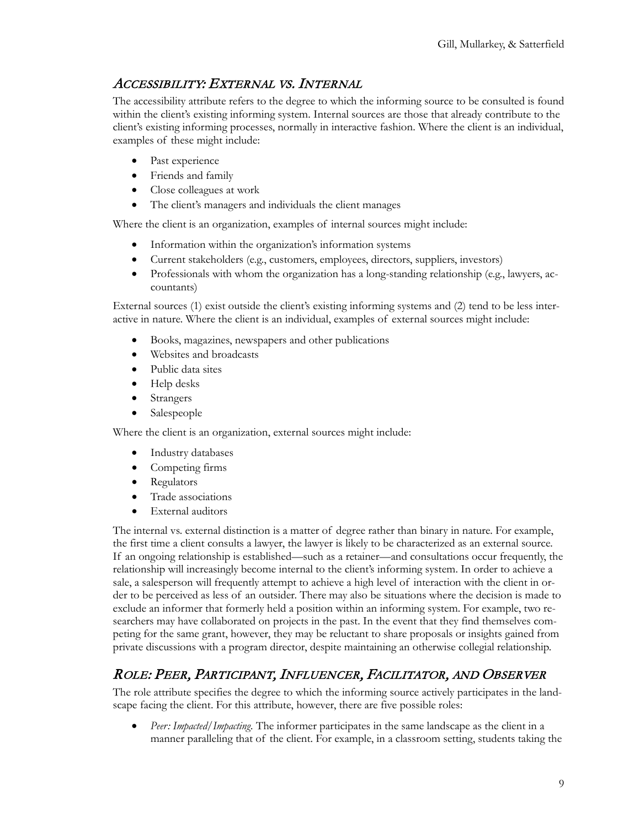## ACCESSIBILITY: EXTERNAL VS. INTERNAL

The accessibility attribute refers to the degree to which the informing source to be consulted is found within the client's existing informing system. Internal sources are those that already contribute to the client's existing informing processes, normally in interactive fashion. Where the client is an individual, examples of these might include:

- Past experience
- Friends and family
- Close colleagues at work
- The client's managers and individuals the client manages

Where the client is an organization, examples of internal sources might include:

- Information within the organization's information systems
- Current stakeholders (e.g., customers, employees, directors, suppliers, investors)
- Professionals with whom the organization has a long-standing relationship (e.g., lawyers, accountants)

External sources (1) exist outside the client's existing informing systems and (2) tend to be less interactive in nature. Where the client is an individual, examples of external sources might include:

- Books, magazines, newspapers and other publications
- Websites and broadcasts
- Public data sites
- Help desks
- Strangers
- Salespeople

Where the client is an organization, external sources might include:

- Industry databases
- Competing firms
- Regulators
- Trade associations
- External auditors

The internal vs. external distinction is a matter of degree rather than binary in nature. For example, the first time a client consults a lawyer, the lawyer is likely to be characterized as an external source. If an ongoing relationship is established—such as a retainer—and consultations occur frequently, the relationship will increasingly become internal to the client's informing system. In order to achieve a sale, a salesperson will frequently attempt to achieve a high level of interaction with the client in order to be perceived as less of an outsider. There may also be situations where the decision is made to exclude an informer that formerly held a position within an informing system. For example, two researchers may have collaborated on projects in the past. In the event that they find themselves competing for the same grant, however, they may be reluctant to share proposals or insights gained from private discussions with a program director, despite maintaining an otherwise collegial relationship.

## ROLE: PEER, PARTICIPANT, INFLUENCER, FACILITATOR, AND OBSERVER

The role attribute specifies the degree to which the informing source actively participates in the landscape facing the client. For this attribute, however, there are five possible roles:

• *Peer: Impacted/Impacting.* The informer participates in the same landscape as the client in a manner paralleling that of the client. For example, in a classroom setting, students taking the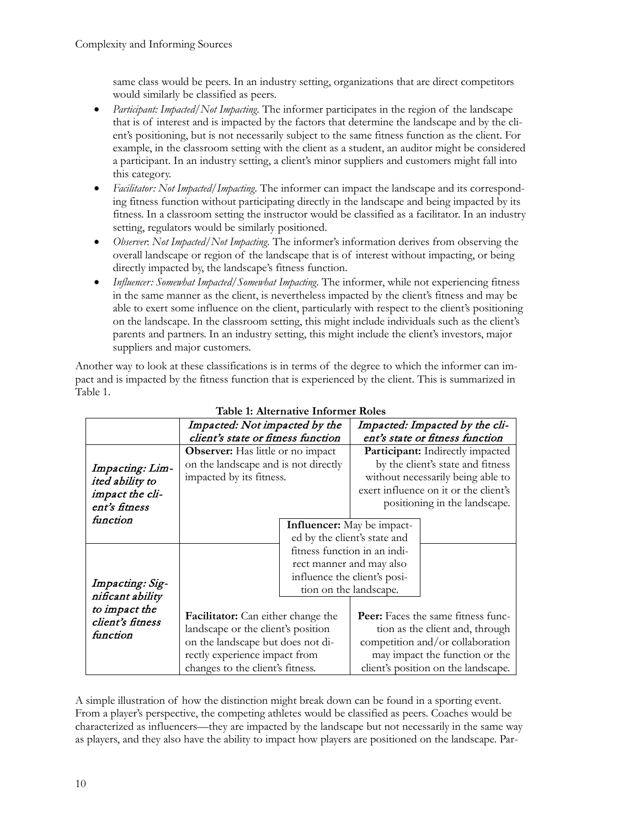same class would be peers. In an industry setting, organizations that are direct competitors would similarly be classified as peers.

- *Participant: Impacted/Not Impacting.* The informer participates in the region of the landscape that is of interest and is impacted by the factors that determine the landscape and by the client's positioning, but is not necessarily subject to the same fitness function as the client. For example, in the classroom setting with the client as a student, an auditor might be considered a participant. In an industry setting, a client's minor suppliers and customers might fall into this category.
- *Facilitator: Not Impacted/Impacting.* The informer can impact the landscape and its corresponding fitness function without participating directly in the landscape and being impacted by its fitness. In a classroom setting the instructor would be classified as a facilitator. In an industry setting, regulators would be similarly positioned.
- *Observer*: *Not Impacted/Not Impacting.* The informer's information derives from observing the overall landscape or region of the landscape that is of interest without impacting, or being directly impacted by, the landscape's fitness function.
- *Influencer: Somewhat Impacted/Somewhat Impacting.* The informer, while not experiencing fitness in the same manner as the client, is nevertheless impacted by the client's fitness and may be able to exert some influence on the client, particularly with respect to the client's positioning on the landscape. In the classroom setting, this might include individuals such as the client's parents and partners. In an industry setting, this might include the client's investors, major suppliers and major customers.

Another way to look at these classifications is in terms of the degree to which the informer can impact and is impacted by the fitness function that is experienced by the client. This is summarized in Table 1.

|                                     | Impacted: Not impacted by the             |                              | Impacted: Impacted by the cli-      |                                           |
|-------------------------------------|-------------------------------------------|------------------------------|-------------------------------------|-------------------------------------------|
|                                     | client's state or fitness function        |                              | ent's state or fitness function     |                                           |
|                                     | <b>Observer:</b> Has little or no impact  |                              | Participant: Indirectly impacted    |                                           |
| Impacting: Lim-                     | on the landscape and is not directly      |                              | by the client's state and fitness   |                                           |
| ited ability to                     | impacted by its fitness.                  |                              | without necessarily being able to   |                                           |
| impact the cli-                     |                                           |                              |                                     | exert influence on it or the client's     |
| ent's fitness                       |                                           |                              |                                     | positioning in the landscape.             |
| function                            |                                           |                              |                                     |                                           |
|                                     |                                           |                              | <b>Influencer:</b> May be impact-   |                                           |
|                                     |                                           |                              | ed by the client's state and        |                                           |
|                                     |                                           | fitness function in an indi- |                                     |                                           |
|                                     |                                           | rect manner and may also     |                                     |                                           |
|                                     |                                           | influence the client's posi- |                                     |                                           |
| Impacting: Sig-<br>nificant ability |                                           | tion on the landscape.       |                                     |                                           |
| to impact the                       |                                           |                              |                                     |                                           |
| client's fitness                    | <b>Facilitator:</b> Can either change the |                              |                                     | <b>Peer:</b> Faces the same fitness func- |
| function                            | landscape or the client's position        |                              | tion as the client and, through     |                                           |
|                                     | on the landscape but does not di-         |                              | competition and/or collaboration    |                                           |
|                                     | rectly experience impact from             |                              | may impact the function or the      |                                           |
|                                     | changes to the client's fitness.          |                              | client's position on the landscape. |                                           |

#### **Table 1: Alternative Informer Roles**

A simple illustration of how the distinction might break down can be found in a sporting event. From a player's perspective, the competing athletes would be classified as peers. Coaches would be characterized as influencers—they are impacted by the landscape but not necessarily in the same way as players, and they also have the ability to impact how players are positioned on the landscape. Par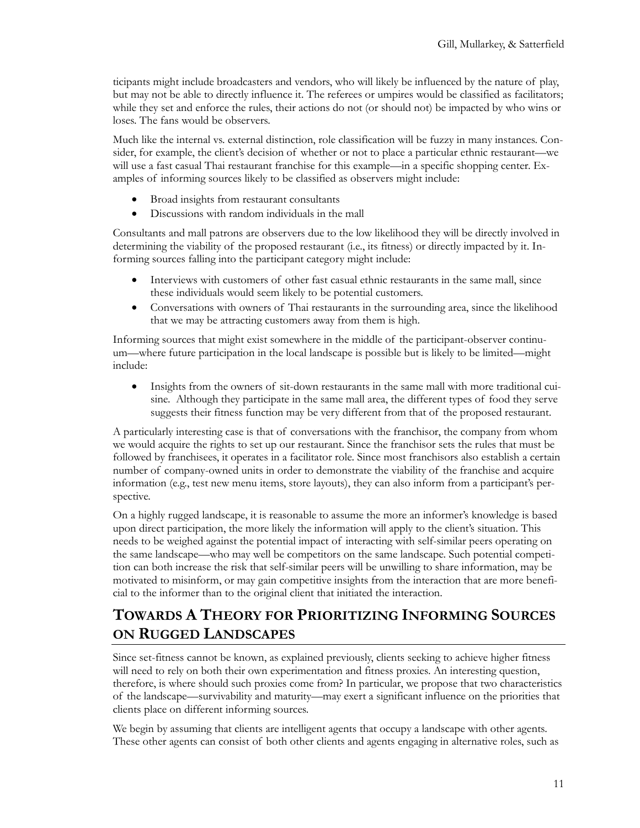ticipants might include broadcasters and vendors, who will likely be influenced by the nature of play, but may not be able to directly influence it. The referees or umpires would be classified as facilitators; while they set and enforce the rules, their actions do not (or should not) be impacted by who wins or loses. The fans would be observers.

Much like the internal vs. external distinction, role classification will be fuzzy in many instances. Consider, for example, the client's decision of whether or not to place a particular ethnic restaurant—we will use a fast casual Thai restaurant franchise for this example—in a specific shopping center. Examples of informing sources likely to be classified as observers might include:

- Broad insights from restaurant consultants
- Discussions with random individuals in the mall

Consultants and mall patrons are observers due to the low likelihood they will be directly involved in determining the viability of the proposed restaurant (i.e., its fitness) or directly impacted by it. Informing sources falling into the participant category might include:

- Interviews with customers of other fast casual ethnic restaurants in the same mall, since these individuals would seem likely to be potential customers.
- Conversations with owners of Thai restaurants in the surrounding area, since the likelihood that we may be attracting customers away from them is high.

Informing sources that might exist somewhere in the middle of the participant-observer continuum—where future participation in the local landscape is possible but is likely to be limited—might include:

• Insights from the owners of sit-down restaurants in the same mall with more traditional cuisine. Although they participate in the same mall area, the different types of food they serve suggests their fitness function may be very different from that of the proposed restaurant.

A particularly interesting case is that of conversations with the franchisor, the company from whom we would acquire the rights to set up our restaurant. Since the franchisor sets the rules that must be followed by franchisees, it operates in a facilitator role. Since most franchisors also establish a certain number of company-owned units in order to demonstrate the viability of the franchise and acquire information (e.g., test new menu items, store layouts), they can also inform from a participant's perspective.

On a highly rugged landscape, it is reasonable to assume the more an informer's knowledge is based upon direct participation, the more likely the information will apply to the client's situation. This needs to be weighed against the potential impact of interacting with self-similar peers operating on the same landscape—who may well be competitors on the same landscape. Such potential competition can both increase the risk that self-similar peers will be unwilling to share information, may be motivated to misinform, or may gain competitive insights from the interaction that are more beneficial to the informer than to the original client that initiated the interaction.

## **TOWARDS A THEORY FOR PRIORITIZING INFORMING SOURCES ON RUGGED LANDSCAPES**

Since set-fitness cannot be known, as explained previously, clients seeking to achieve higher fitness will need to rely on both their own experimentation and fitness proxies. An interesting question, therefore, is where should such proxies come from? In particular, we propose that two characteristics of the landscape—survivability and maturity—may exert a significant influence on the priorities that clients place on different informing sources.

We begin by assuming that clients are intelligent agents that occupy a landscape with other agents. These other agents can consist of both other clients and agents engaging in alternative roles, such as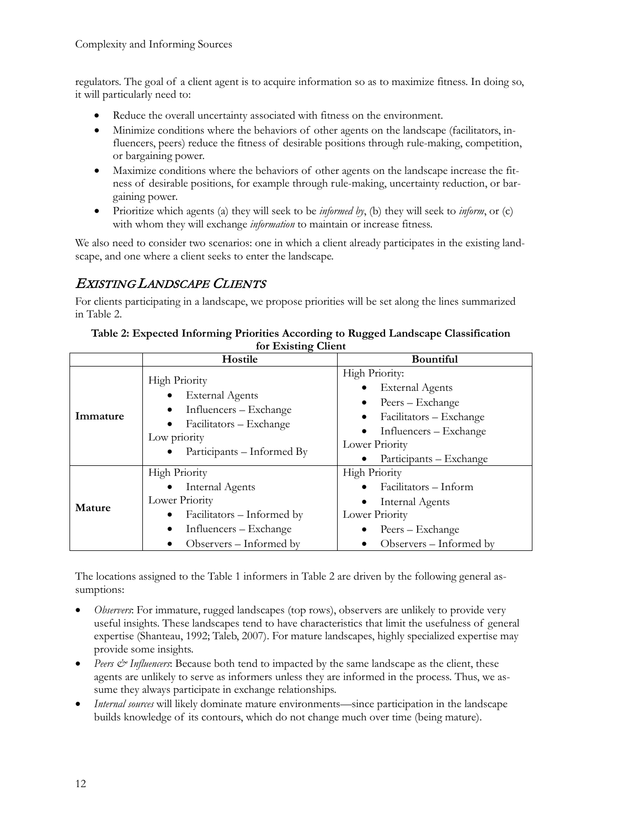regulators. The goal of a client agent is to acquire information so as to maximize fitness. In doing so, it will particularly need to:

- Reduce the overall uncertainty associated with fitness on the environment.
- Minimize conditions where the behaviors of other agents on the landscape (facilitators, influencers, peers) reduce the fitness of desirable positions through rule-making, competition, or bargaining power.
- Maximize conditions where the behaviors of other agents on the landscape increase the fitness of desirable positions, for example through rule-making, uncertainty reduction, or bargaining power.
- Prioritize which agents (a) they will seek to be *informed by*, (b) they will seek to *inform*, or (c) with whom they will exchange *information* to maintain or increase fitness.

We also need to consider two scenarios: one in which a client already participates in the existing landscape, and one where a client seeks to enter the landscape.

### EXISTING LANDSCAPE CLIENTS

For clients participating in a landscape, we propose priorities will be set along the lines summarized in Table 2.

|          | ິ<br>Hostile                                                                                                                                             | <b>Bountiful</b>                                                                                                                                               |
|----------|----------------------------------------------------------------------------------------------------------------------------------------------------------|----------------------------------------------------------------------------------------------------------------------------------------------------------------|
| Immature | <b>High Priority</b><br><b>External Agents</b><br>Influencers - Exchange<br>Facilitators - Exchange<br>Low priority<br>Participants – Informed By        | High Priority:<br><b>External Agents</b><br>Peers – Exchange<br>Facilitators – Exchange<br>Influencers – Exchange<br>Lower Priority<br>Participants – Exchange |
| Mature   | <b>High Priority</b><br><b>Internal Agents</b><br>Lower Priority<br>Facilitators – Informed by<br>٠<br>Influencers - Exchange<br>Observers – Informed by | <b>High Priority</b><br>Facilitators – Inform<br><b>Internal Agents</b><br>Lower Priority<br>Peers – Exchange<br>Observers – Informed by                       |

#### **Table 2: Expected Informing Priorities According to Rugged Landscape Classification for Existing Client**

The locations assigned to the Table 1 informers in Table 2 are driven by the following general assumptions:

- *Observers*: For immature, rugged landscapes (top rows), observers are unlikely to provide very useful insights. These landscapes tend to have characteristics that limit the usefulness of general expertise (Shanteau, 1992; Taleb, 2007). For mature landscapes, highly specialized expertise may provide some insights.
- *Peers & Influencers*: Because both tend to impacted by the same landscape as the client, these agents are unlikely to serve as informers unless they are informed in the process. Thus, we assume they always participate in exchange relationships.
- *Internal sources* will likely dominate mature environments—since participation in the landscape builds knowledge of its contours, which do not change much over time (being mature).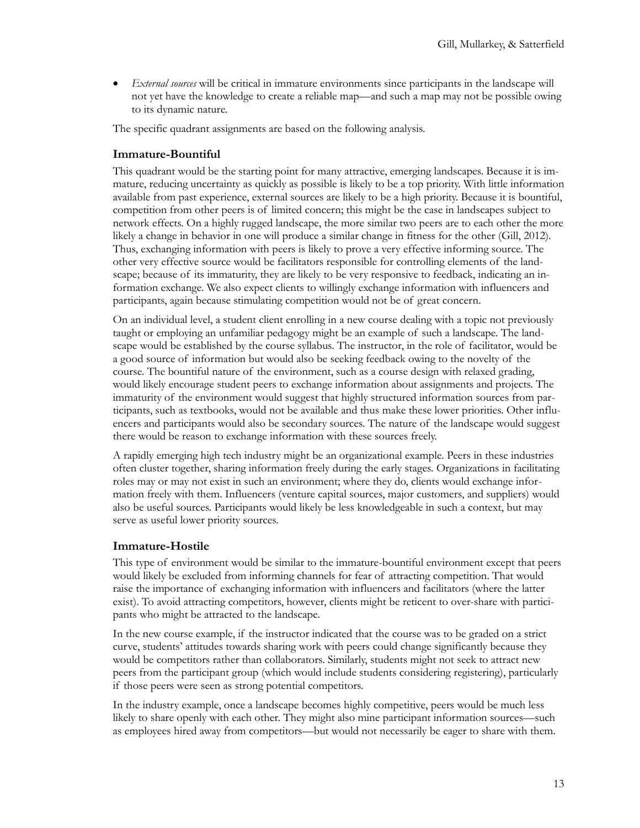• *External sources* will be critical in immature environments since participants in the landscape will not yet have the knowledge to create a reliable map—and such a map may not be possible owing to its dynamic nature.

The specific quadrant assignments are based on the following analysis.

#### **Immature-Bountiful**

This quadrant would be the starting point for many attractive, emerging landscapes. Because it is immature, reducing uncertainty as quickly as possible is likely to be a top priority. With little information available from past experience, external sources are likely to be a high priority. Because it is bountiful, competition from other peers is of limited concern; this might be the case in landscapes subject to network effects. On a highly rugged landscape, the more similar two peers are to each other the more likely a change in behavior in one will produce a similar change in fitness for the other (Gill, 2012). Thus, exchanging information with peers is likely to prove a very effective informing source. The other very effective source would be facilitators responsible for controlling elements of the landscape; because of its immaturity, they are likely to be very responsive to feedback, indicating an information exchange. We also expect clients to willingly exchange information with influencers and participants, again because stimulating competition would not be of great concern.

On an individual level, a student client enrolling in a new course dealing with a topic not previously taught or employing an unfamiliar pedagogy might be an example of such a landscape. The landscape would be established by the course syllabus. The instructor, in the role of facilitator, would be a good source of information but would also be seeking feedback owing to the novelty of the course. The bountiful nature of the environment, such as a course design with relaxed grading, would likely encourage student peers to exchange information about assignments and projects. The immaturity of the environment would suggest that highly structured information sources from participants, such as textbooks, would not be available and thus make these lower priorities. Other influencers and participants would also be secondary sources. The nature of the landscape would suggest there would be reason to exchange information with these sources freely.

A rapidly emerging high tech industry might be an organizational example. Peers in these industries often cluster together, sharing information freely during the early stages. Organizations in facilitating roles may or may not exist in such an environment; where they do, clients would exchange information freely with them. Influencers (venture capital sources, major customers, and suppliers) would also be useful sources. Participants would likely be less knowledgeable in such a context, but may serve as useful lower priority sources.

#### **Immature-Hostile**

This type of environment would be similar to the immature-bountiful environment except that peers would likely be excluded from informing channels for fear of attracting competition. That would raise the importance of exchanging information with influencers and facilitators (where the latter exist). To avoid attracting competitors, however, clients might be reticent to over-share with participants who might be attracted to the landscape.

In the new course example, if the instructor indicated that the course was to be graded on a strict curve, students' attitudes towards sharing work with peers could change significantly because they would be competitors rather than collaborators. Similarly, students might not seek to attract new peers from the participant group (which would include students considering registering), particularly if those peers were seen as strong potential competitors.

In the industry example, once a landscape becomes highly competitive, peers would be much less likely to share openly with each other. They might also mine participant information sources—such as employees hired away from competitors—but would not necessarily be eager to share with them.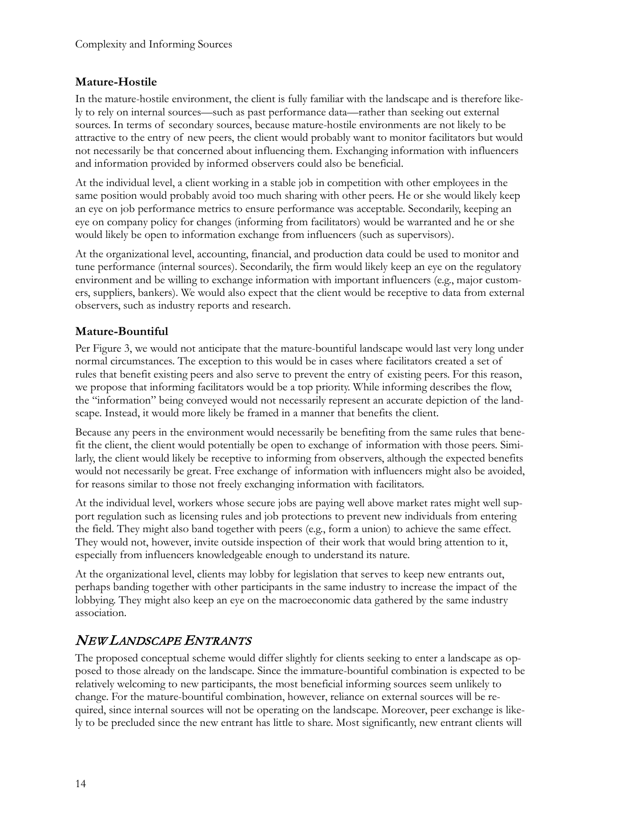#### **Mature-Hostile**

In the mature-hostile environment, the client is fully familiar with the landscape and is therefore likely to rely on internal sources—such as past performance data—rather than seeking out external sources. In terms of secondary sources, because mature-hostile environments are not likely to be attractive to the entry of new peers, the client would probably want to monitor facilitators but would not necessarily be that concerned about influencing them. Exchanging information with influencers and information provided by informed observers could also be beneficial.

At the individual level, a client working in a stable job in competition with other employees in the same position would probably avoid too much sharing with other peers. He or she would likely keep an eye on job performance metrics to ensure performance was acceptable. Secondarily, keeping an eye on company policy for changes (informing from facilitators) would be warranted and he or she would likely be open to information exchange from influencers (such as supervisors).

At the organizational level, accounting, financial, and production data could be used to monitor and tune performance (internal sources). Secondarily, the firm would likely keep an eye on the regulatory environment and be willing to exchange information with important influencers (e.g., major customers, suppliers, bankers). We would also expect that the client would be receptive to data from external observers, such as industry reports and research.

#### **Mature-Bountiful**

Per Figure 3, we would not anticipate that the mature-bountiful landscape would last very long under normal circumstances. The exception to this would be in cases where facilitators created a set of rules that benefit existing peers and also serve to prevent the entry of existing peers. For this reason, we propose that informing facilitators would be a top priority. While informing describes the flow, the "information" being conveyed would not necessarily represent an accurate depiction of the landscape. Instead, it would more likely be framed in a manner that benefits the client.

Because any peers in the environment would necessarily be benefiting from the same rules that benefit the client, the client would potentially be open to exchange of information with those peers. Similarly, the client would likely be receptive to informing from observers, although the expected benefits would not necessarily be great. Free exchange of information with influencers might also be avoided, for reasons similar to those not freely exchanging information with facilitators.

At the individual level, workers whose secure jobs are paying well above market rates might well support regulation such as licensing rules and job protections to prevent new individuals from entering the field. They might also band together with peers (e.g., form a union) to achieve the same effect. They would not, however, invite outside inspection of their work that would bring attention to it, especially from influencers knowledgeable enough to understand its nature.

At the organizational level, clients may lobby for legislation that serves to keep new entrants out, perhaps banding together with other participants in the same industry to increase the impact of the lobbying. They might also keep an eye on the macroeconomic data gathered by the same industry association.

## NEW LANDSCAPE ENTRANTS

The proposed conceptual scheme would differ slightly for clients seeking to enter a landscape as opposed to those already on the landscape. Since the immature-bountiful combination is expected to be relatively welcoming to new participants, the most beneficial informing sources seem unlikely to change. For the mature-bountiful combination, however, reliance on external sources will be required, since internal sources will not be operating on the landscape. Moreover, peer exchange is likely to be precluded since the new entrant has little to share. Most significantly, new entrant clients will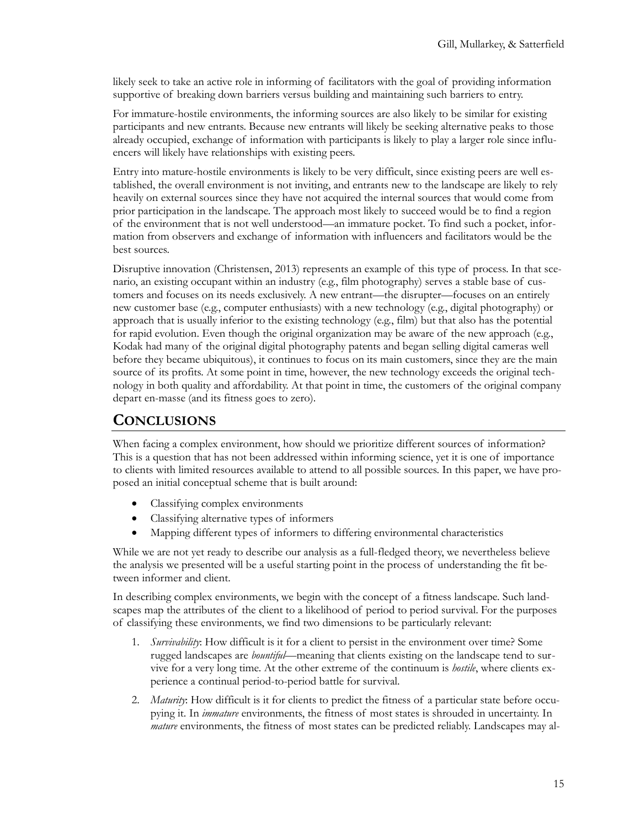likely seek to take an active role in informing of facilitators with the goal of providing information supportive of breaking down barriers versus building and maintaining such barriers to entry.

For immature-hostile environments, the informing sources are also likely to be similar for existing participants and new entrants. Because new entrants will likely be seeking alternative peaks to those already occupied, exchange of information with participants is likely to play a larger role since influencers will likely have relationships with existing peers.

Entry into mature-hostile environments is likely to be very difficult, since existing peers are well established, the overall environment is not inviting, and entrants new to the landscape are likely to rely heavily on external sources since they have not acquired the internal sources that would come from prior participation in the landscape. The approach most likely to succeed would be to find a region of the environment that is not well understood—an immature pocket. To find such a pocket, information from observers and exchange of information with influencers and facilitators would be the best sources.

Disruptive innovation (Christensen, 2013) represents an example of this type of process. In that scenario, an existing occupant within an industry (e.g., film photography) serves a stable base of customers and focuses on its needs exclusively. A new entrant—the disrupter—focuses on an entirely new customer base (e.g., computer enthusiasts) with a new technology (e.g., digital photography) or approach that is usually inferior to the existing technology (e.g., film) but that also has the potential for rapid evolution. Even though the original organization may be aware of the new approach (e.g., Kodak had many of the original digital photography patents and began selling digital cameras well before they became ubiquitous), it continues to focus on its main customers, since they are the main source of its profits. At some point in time, however, the new technology exceeds the original technology in both quality and affordability. At that point in time, the customers of the original company depart en-masse (and its fitness goes to zero).

## **CONCLUSIONS**

When facing a complex environment, how should we prioritize different sources of information? This is a question that has not been addressed within informing science, yet it is one of importance to clients with limited resources available to attend to all possible sources. In this paper, we have proposed an initial conceptual scheme that is built around:

- Classifying complex environments
- Classifying alternative types of informers
- Mapping different types of informers to differing environmental characteristics

While we are not yet ready to describe our analysis as a full-fledged theory, we nevertheless believe the analysis we presented will be a useful starting point in the process of understanding the fit between informer and client.

In describing complex environments, we begin with the concept of a fitness landscape. Such landscapes map the attributes of the client to a likelihood of period to period survival. For the purposes of classifying these environments, we find two dimensions to be particularly relevant:

- 1. *Survivability*: How difficult is it for a client to persist in the environment over time? Some rugged landscapes are *bountiful*—meaning that clients existing on the landscape tend to survive for a very long time. At the other extreme of the continuum is *hostile*, where clients experience a continual period-to-period battle for survival.
- 2. *Maturity*: How difficult is it for clients to predict the fitness of a particular state before occupying it. In *immature* environments, the fitness of most states is shrouded in uncertainty. In *mature* environments, the fitness of most states can be predicted reliably. Landscapes may al-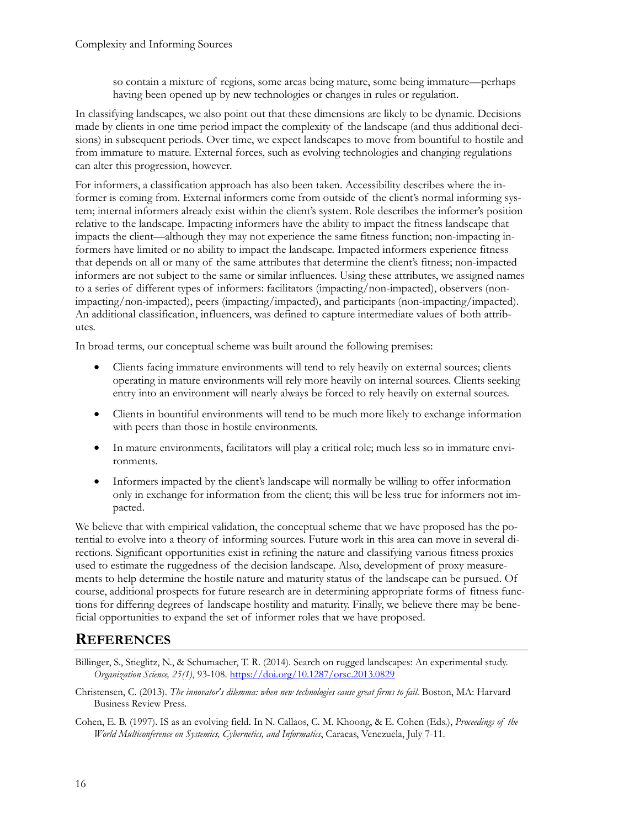so contain a mixture of regions, some areas being mature, some being immature—perhaps having been opened up by new technologies or changes in rules or regulation.

In classifying landscapes, we also point out that these dimensions are likely to be dynamic. Decisions made by clients in one time period impact the complexity of the landscape (and thus additional decisions) in subsequent periods. Over time, we expect landscapes to move from bountiful to hostile and from immature to mature. External forces, such as evolving technologies and changing regulations can alter this progression, however.

For informers, a classification approach has also been taken. Accessibility describes where the informer is coming from. External informers come from outside of the client's normal informing system; internal informers already exist within the client's system. Role describes the informer's position relative to the landscape. Impacting informers have the ability to impact the fitness landscape that impacts the client—although they may not experience the same fitness function; non-impacting informers have limited or no ability to impact the landscape. Impacted informers experience fitness that depends on all or many of the same attributes that determine the client's fitness; non-impacted informers are not subject to the same or similar influences. Using these attributes, we assigned names to a series of different types of informers: facilitators (impacting/non-impacted), observers (nonimpacting/non-impacted), peers (impacting/impacted), and participants (non-impacting/impacted). An additional classification, influencers, was defined to capture intermediate values of both attributes.

In broad terms, our conceptual scheme was built around the following premises:

- Clients facing immature environments will tend to rely heavily on external sources; clients operating in mature environments will rely more heavily on internal sources. Clients seeking entry into an environment will nearly always be forced to rely heavily on external sources.
- Clients in bountiful environments will tend to be much more likely to exchange information with peers than those in hostile environments.
- In mature environments, facilitators will play a critical role; much less so in immature environments.
- Informers impacted by the client's landscape will normally be willing to offer information only in exchange for information from the client; this will be less true for informers not impacted.

We believe that with empirical validation, the conceptual scheme that we have proposed has the potential to evolve into a theory of informing sources. Future work in this area can move in several directions. Significant opportunities exist in refining the nature and classifying various fitness proxies used to estimate the ruggedness of the decision landscape. Also, development of proxy measurements to help determine the hostile nature and maturity status of the landscape can be pursued. Of course, additional prospects for future research are in determining appropriate forms of fitness functions for differing degrees of landscape hostility and maturity. Finally, we believe there may be beneficial opportunities to expand the set of informer roles that we have proposed.

## **REFERENCES**

- Billinger, S., Stieglitz, N., & Schumacher, T. R. (2014). Search on rugged landscapes: An experimental study. *Organization Science, 25(1)*, 93-108. <https://doi.org/10.1287/orsc.2013.0829>
- Christensen, C. (2013). *The innovator's dilemma: when new technologies cause great firms to fail*. Boston, MA: Harvard Business Review Press.
- Cohen, E. B. (1997). IS as an evolving field. In N. Callaos, C. M. Khoong, & E. Cohen (Eds.), *Proceedings of the World Multiconference on Systemics, Cybernetics, and Informatics*, Caracas, Venezuela, July 7-11.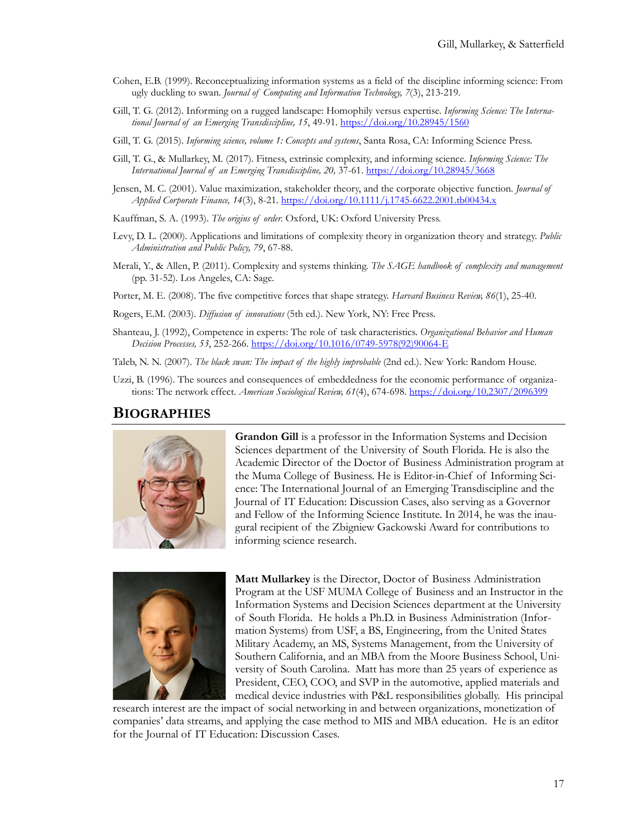- Cohen, E.B. (1999). Reconceptualizing information systems as a field of the discipline informing science: From ugly duckling to swan. *Journal of Computing and Information Technology, 7*(3), 213-219.
- Gill, T. G. (2012). Informing on a rugged landscape: Homophily versus expertise. *Informing Science: The International Journal of an Emerging Transdiscipline, 15*, 49-91. <https://doi.org/10.28945/1560>
- Gill, T. G. (2015). *Informing science, volume 1: Concepts and systems*, Santa Rosa, CA: Informing Science Press.
- Gill, T. G., & Mullarkey, M. (2017). Fitness, extrinsic complexity, and informing science. *Informing Science: The International Journal of an Emerging Transdiscipline, 20,* 37-61. htt[ps://doi.org/10.28945/3668](https://doi.org/10.28945/3668)
- Jensen, M. C. (2001). Value maximization, stakeholder theory, and the corporate objective function. *Journal of Applied Corporate Finance, 14*(3), 8-21. [https://doi.org/10.1111/j.1745](https://doi.org/10.1111/j.1745-6622.2001.tb00434.x)-6622.2001.tb00434.x
- Kauffman, S. A. (1993). *The origins of order.* Oxford, UK: Oxford University Press.
- Levy, D. L. (2000). Applications and limitations of complexity theory in organization theory and strategy. *Public Administration and Public Policy, 79*, 67-88.
- Merali, Y., & Allen, P. (2011). Complexity and systems thinking. *The SAGE handbook of complexity and management* (pp. 31-52). Los Angeles, CA: Sage.
- Porter, M. E. (2008). The five competitive forces that shape strategy. *Harvard Business Review, 86*(1), 25-40.

Rogers, E.M. (2003). *Diffusion of innovations* (5th ed.). New York, NY: Free Press.

Shanteau, J. (1992), Competence in experts: The role of task characteristics. *Organizational Behavior and Human Decision Processes, 53*, 252-266. [https://doi.org/10.1016/0749](https://doi.org/10.1016/0749-5978(92)90064-E)-5978(92)90064-E

Taleb, N. N. (2007). *The black swan: The impact of the highly improbable* (2nd ed.). New York: Random House.

Uzzi, B. (1996). The sources and consequences of embeddedness for the economic performance of organizations: The network effect. *American Sociological Review, 61*(4), 674-698. <https://doi.org/10.2307/2096399>

#### **BIOGRAPHIES**



**Grandon Gill** is a professor in the Information Systems and Decision Sciences department of the University of South Florida. He is also the Academic Director of the Doctor of Business Administration program at the Muma College of Business. He is Editor-in-Chief of Informing Science: The International Journal of an Emerging Transdiscipline and the Journal of IT Education: Discussion Cases, also serving as a Governor and Fellow of the Informing Science Institute. In 2014, he was the inaugural recipient of the Zbigniew Gackowski Award for contributions to informing science research.



**Matt Mullarkey** is the Director, Doctor of Business Administration Program at the USF MUMA College of Business and an Instructor in the Information Systems and Decision Sciences department at the University of South Florida. He holds a Ph.D. in Business Administration (Information Systems) from USF, a BS, Engineering, from the United States Military Academy, an MS, Systems Management, from the University of Southern California, and an MBA from the Moore Business School, University of South Carolina. Matt has more than 25 years of experience as President, CEO, COO, and SVP in the automotive, applied materials and medical device industries with P&L responsibilities globally. His principal

research interest are the impact of social networking in and between organizations, monetization of companies' data streams, and applying the case method to MIS and MBA education. He is an editor for the Journal of IT Education: Discussion Cases.